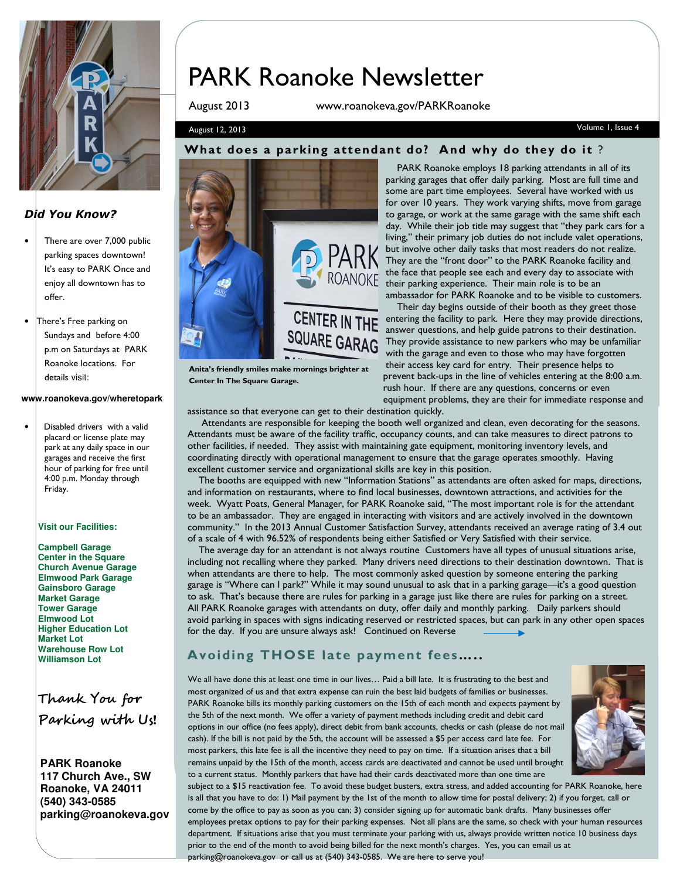

#### Did You Know?

- There are over 7,000 public parking spaces downtown! It's easy to PARK Once and enjoy all downtown has to offer.
- There's Free parking on Sundays and before 4:00 p.m on Saturdays at PARK Roanoke locations. For details visit:

#### **www.roanokeva.gov/wheretopark**

Disabled drivers with a valid placard or license plate may park at any daily space in our garages and receive the first hour of parking for free until 4:00 p.m. Monday through Friday.

#### **Visit our Facilities:**

**Campbell Garage Center in the Square Church Avenue Garage Elmwood Park Garage Gainsboro Garage Market Garage Tower Garage Elmwood Lot Higher Education Lot Market Lot Warehouse Row Lot Williamson Lot**

Thank You for Parking with Us!

**PARK Roanoke 117 Church Ave., SW Roanoke, VA 24011 (540) 343-0585 parking@roanokeva.gov** 

# PARK Roanoke Newsletter

August 2013 www.roanokeva.gov/PARKRoanoke

#### August 12, 2013 Volume 1, Issue 4

#### What does a parking attendant do? And why do they do it ?



Anita's friendly smiles make mornings brighter at

Center In The Square Garage.

 PARK Roanoke employs 18 parking attendants in all of its parking garages that offer daily parking. Most are full time and some are part time employees. Several have worked with us for over 10 years. They work varying shifts, move from garage to garage, or work at the same garage with the same shift each day. While their job title may suggest that "they park cars for a living," their primary job duties do not include valet operations, but involve other daily tasks that most readers do not realize. They are the "front door" to the PARK Roanoke facility and the face that people see each and every day to associate with their parking experience. Their main role is to be an ambassador for PARK Roanoke and to be visible to customers.

 Their day begins outside of their booth as they greet those CENTER IN THE entering the facility to park. Here they may provide directions, answer questions, and help guide patrons to their destination. They provide assistance to new parkers who may be unfamiliar with the garage and even to those who may have forgotten their access key card for entry. Their presence helps to prevent back-ups in the line of vehicles entering at the 8:00 a.m. rush hour. If there are any questions, concerns or even equipment problems, they are their for immediate response and

assistance so that everyone can get to their destination quickly.

 Attendants are responsible for keeping the booth well organized and clean, even decorating for the seasons. Attendants must be aware of the facility traffic, occupancy counts, and can take measures to direct patrons to other facilities, if needed. They assist with maintaining gate equipment, monitoring inventory levels, and coordinating directly with operational management to ensure that the garage operates smoothly. Having excellent customer service and organizational skills are key in this position.

 The booths are equipped with new "Information Stations" as attendants are often asked for maps, directions, and information on restaurants, where to find local businesses, downtown attractions, and activities for the week. Wyatt Poats, General Manager, for PARK Roanoke said, "The most important role is for the attendant to be an ambassador. They are engaged in interacting with visitors and are actively involved in the downtown community." In the 2013 Annual Customer Satisfaction Survey, attendants received an average rating of 3.4 out of a scale of 4 with 96.52% of respondents being either Satisfied or Very Satisfied with their service.

 The average day for an attendant is not always routine Customers have all types of unusual situations arise, including not recalling where they parked. Many drivers need directions to their destination downtown. That is when attendants are there to help. The most commonly asked question by someone entering the parking garage is "Where can I park?" While it may sound unusual to ask that in a parking garage—it's a good question to ask. That's because there are rules for parking in a garage just like there are rules for parking on a street. All PARK Roanoke garages with attendants on duty, offer daily and monthly parking. Daily parkers should avoid parking in spaces with signs indicating reserved or restricted spaces, but can park in any other open spaces for the day. If you are unsure always ask! Continued on Reverse

## Avoiding THOSE late payment fees…..

We all have done this at least one time in our lives… Paid a bill late. It is frustrating to the best and most organized of us and that extra expense can ruin the best laid budgets of families or businesses. PARK Roanoke bills its monthly parking customers on the 15th of each month and expects payment by the 5th of the next month. We offer a variety of payment methods including credit and debit card options in our office (no fees apply), direct debit from bank accounts, checks or cash (please do not mail cash). If the bill is not paid by the 5th, the account will be assessed a \$5 per access card late fee. For most parkers, this late fee is all the incentive they need to pay on time. If a situation arises that a bill remains unpaid by the 15th of the month, access cards are deactivated and cannot be used until brought to a current status. Monthly parkers that have had their cards deactivated more than one time are



subject to a \$15 reactivation fee. To avoid these budget busters, extra stress, and added accounting for PARK Roanoke, here is all that you have to do: 1) Mail payment by the 1st of the month to allow time for postal delivery; 2) if you forget, call or come by the office to pay as soon as you can; 3) consider signing up for automatic bank drafts. Many businesses offer employees pretax options to pay for their parking expenses. Not all plans are the same, so check with your human resources department. If situations arise that you must terminate your parking with us, always provide written notice 10 business days prior to the end of the month to avoid being billed for the next month's charges. Yes, you can email us at parking@roanokeva.gov or call us at (540) 343-0585. We are here to serve you!